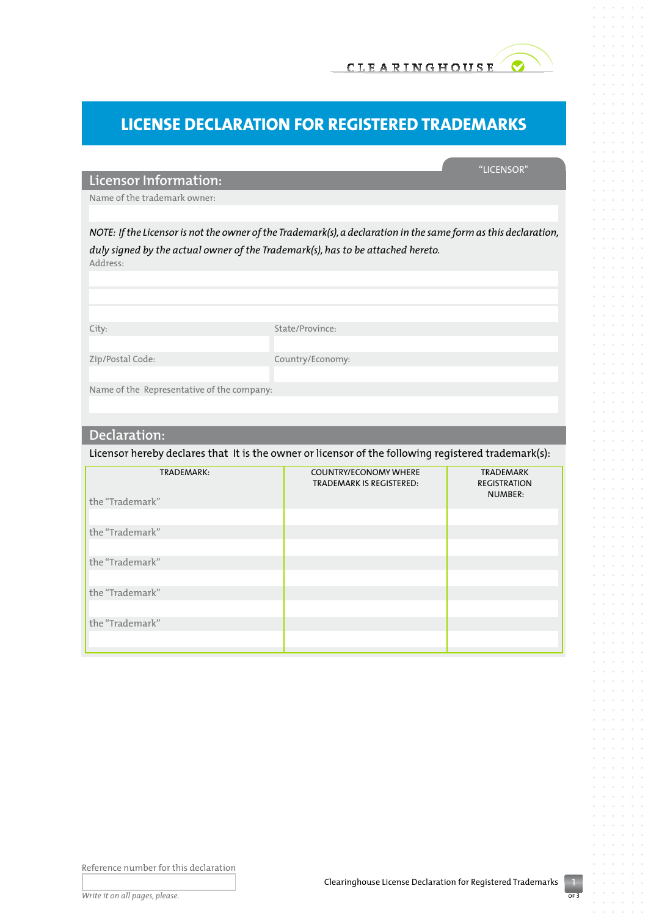

## **License Declaration for Registered Trademarks**

## "Licensor"

**Licensor Information:**

Name of the trademark owner:

*NOTE: If the Licensor is not the owner of the Trademark(s), a declaration in the same form as this declaration, duly signed by the actual owner of the Trademark(s), has to be attached hereto.*  Address:

City: State/Province: Zip/Postal Code: Country/Economy: Name of the Representative of the company:

## **Declaration:**

Licensor hereby declares that It is the owner or licensor of the following registered trademark(s):

| TRADEMARK:      | <b>COUNTRY/ECONOMY WHERE</b><br><b>TRADEMARK IS REGISTERED:</b> | <b>TRADEMARK</b><br><b>REGISTRATION</b><br>NUMBER: |
|-----------------|-----------------------------------------------------------------|----------------------------------------------------|
| the "Trademark" |                                                                 |                                                    |
| the "Trademark" |                                                                 |                                                    |
| the "Trademark" |                                                                 |                                                    |
| the "Trademark" |                                                                 |                                                    |
| the "Trademark" |                                                                 |                                                    |
|                 |                                                                 |                                                    |

Reference number for this declaration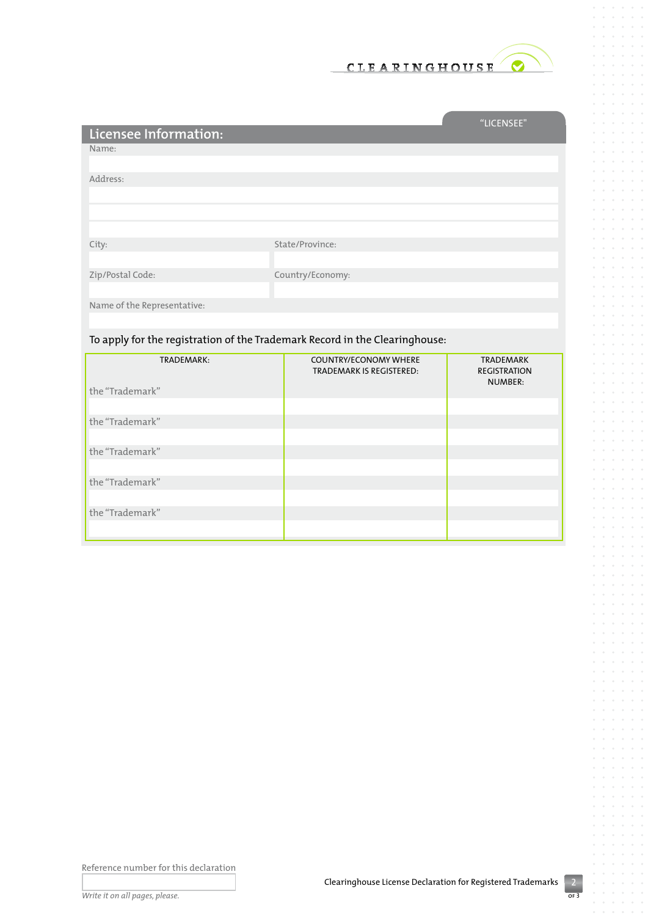

and the control of the control of

 $\alpha$  $\alpha$ 

 $\alpha$  $\alpha = \alpha = \alpha$  $\alpha$  $\bar{\phantom{a}}$  $\alpha = \alpha = \alpha$  $\alpha$  $\bar{\phantom{a}}$  $\alpha$  $\alpha$ 

 $\alpha = \alpha = 0$  $\sim$  $\ddot{\phantom{a}}$ 

> $\alpha = 0$  $\sim$  $\alpha$  $\bar{z}$  $\sim$

 $\alpha = \alpha = \alpha$  $\circ$ 

> $\alpha$  $\alpha$  $\alpha$

 $\circ$  $\bar{\rm o}$  $\alpha$  $\sim$ 

 $\alpha = \alpha$  $\bar{\phantom{a}}$  $\bar{\rm o}$ 

 $\circ$  $\alpha$  $\circ$  $\bar{a}$  $\alpha$  $\bar{\sigma}$ 

 $\alpha = 0$ 

 $\alpha$  $\sim$ 

 $\sim$  $\alpha = \alpha = \alpha$ 

|                                                                             |                                                        | "LICENSEE"                       |
|-----------------------------------------------------------------------------|--------------------------------------------------------|----------------------------------|
| Licensee Information:                                                       |                                                        |                                  |
| Name:                                                                       |                                                        |                                  |
|                                                                             |                                                        |                                  |
| Address:                                                                    |                                                        |                                  |
|                                                                             |                                                        |                                  |
|                                                                             |                                                        |                                  |
|                                                                             |                                                        |                                  |
| City:                                                                       | State/Province:                                        |                                  |
|                                                                             |                                                        |                                  |
| Zip/Postal Code:                                                            | Country/Economy:                                       |                                  |
|                                                                             |                                                        |                                  |
| Name of the Representative:                                                 |                                                        |                                  |
|                                                                             |                                                        |                                  |
| To apply for the registration of the Trademark Record in the Clearinghouse: |                                                        |                                  |
| <b>TRADEMARK:</b>                                                           | <b>COUNTRY/ECONOMY WHERE</b><br>TRADEMARK IS RESISTENT | <b>TRADEMARK</b><br>DFCICTDATION |

| IRADEMARK:      | <b>COUNTRY/ECONOMY WHERE</b><br><b>TRADEMARK IS REGISTERED:</b> | IRADEMARK<br><b>REGISTRATION</b><br>NUMBER: |
|-----------------|-----------------------------------------------------------------|---------------------------------------------|
| the "Trademark" |                                                                 |                                             |
| the "Trademark" |                                                                 |                                             |
| the "Trademark" |                                                                 |                                             |
| the "Trademark" |                                                                 |                                             |
| the "Trademark" |                                                                 |                                             |

Reference number for this declaration